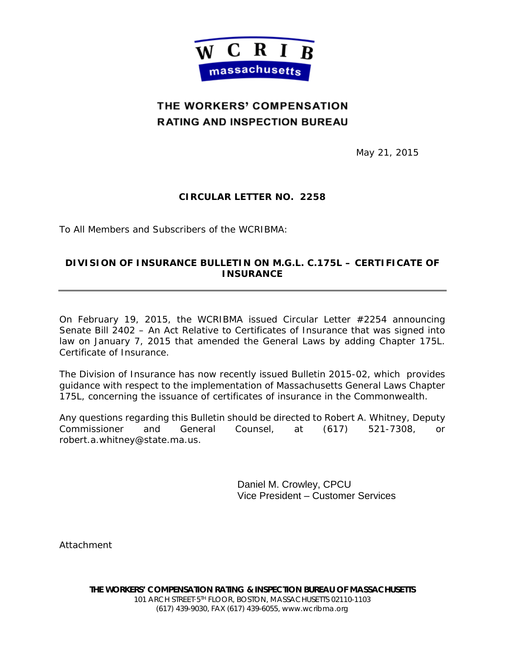

# THE WORKERS' COMPENSATION **RATING AND INSPECTION BUREAU**

May 21, 2015

# **CIRCULAR LETTER NO. 2258**

To All Members and Subscribers of the WCRIBMA:

## **DIVISION OF INSURANCE BULLETIN ON M.G.L. C.175L – CERTIFICATE OF INSURANCE**

On February 19, 2015, the WCRIBMA issued Circular Letter #2254 announcing Senate Bill 2402 – An Act Relative to Certificates of Insurance that was signed into law on January 7, 2015 that amended the General Laws by adding Chapter 175L. Certificate of Insurance.

The Division of Insurance has now recently issued Bulletin 2015-02, which provides guidance with respect to the implementation of Massachusetts General Laws Chapter 175L, concerning the issuance of certificates of insurance in the Commonwealth.

Any questions regarding this Bulletin should be directed to Robert A. Whitney, Deputy Commissioner and General Counsel, at (617) 521-7308, or robert.a.whitney@state.ma.us.

> Daniel M. Crowley, CPCU Vice President – Customer Services

Attachment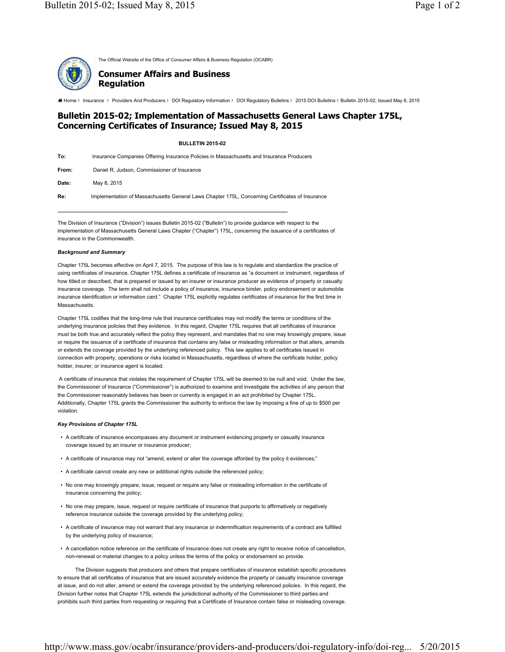The Official Website of the Office of Consumer Affairs & Business Regulation (OCABR)

### **Consumer Affairs and Business Regulation**

2015 DOI Bulletin 2015-02; Issued May 8, 2015<br>▲ Home > Insurance > Providers And Producers > DOI Regulatory Information > DOI Regulatory Bulletins > 2015 DOI Bulletins > Bulletin 2015-02; Issued May 8, 2015

### **Bulletin 2015-02; Implementation of Massachusetts General Laws Chapter 175L, Concerning Certificates of Insurance; Issued May 8, 2015**

#### **BULLETIN 2015-02**

| To:   | Insurance Companies Offering Insurance Policies in Massachusetts and Insurance Producers        |
|-------|-------------------------------------------------------------------------------------------------|
| From: | Daniel R. Judson, Commissioner of Insurance                                                     |
| Date: | May 8, 2015                                                                                     |
| Re:   | Implementation of Massachusetts General Laws Chapter 175L, Concerning Certificates of Insurance |

The Division of Insurance ("Division") issues Bulletin 2015-02 ("Bulletin") to provide guidance with respect to the implementation of Massachusetts General Laws Chapter ("Chapter") 175L, concerning the issuance of a certificates of insurance in the Commonwealth.

**\_\_\_\_\_\_\_\_\_\_\_\_\_\_\_\_\_\_\_\_\_\_\_\_\_\_\_\_\_\_\_\_\_\_\_\_\_\_\_\_\_\_\_\_\_\_\_\_\_\_\_\_\_\_\_\_\_\_\_\_\_\_\_\_\_\_\_\_\_\_\_\_\_\_\_\_\_\_**

#### *Background and Summary*

Chapter 175L becomes effective on April 7, 2015. The purpose of this law is to regulate and standardize the practice of using certificates of insurance. Chapter 175L defines a certificate of insurance as "a document or instrument, regardless of how titled or described, that is prepared or issued by an insurer or insurance producer as evidence of property or casualty insurance coverage. The term shall not include a policy of insurance, insurance binder, policy endorsement or automobile insurance identification or information card." Chapter 175L explicitly regulates certificates of insurance for the first time in Massachusetts.

Chapter 175L codifies that the long-time rule that insurance certificates may not modify the terms or conditions of the underlying insurance policies that they evidence. In this regard, Chapter 175L requires that all certificates of insurance must be both true and accurately reflect the policy they represent, and mandates that no one may knowingly prepare, issue or require the issuance of a certificate of insurance that contains any false or misleading information or that alters, amends or extends the coverage provided by the underlying referenced policy. This law applies to all certificates issued in connection with property, operations or risks located in Massachusetts, regardless of where the certificate holder, policy holder, insurer, or insurance agent is located.

 A certificate of insurance that violates the requirement of Chapter 175L will be deemed to be null and void. Under the law, the Commissioner of Insurance ("Commissioner") is authorized to examine and investigate the activities of any person that the Commissioner reasonably believes has been or currently is engaged in an act prohibited by Chapter 175L. Additionally, Chapter 175L grants the Commissioner the authority to enforce the law by imposing a fine of up to \$500 per violation.

### *Key Provisions of Chapter 175L*

- A certificate of insurance encompasses any document or instrument evidencing property or casualty insurance coverage issued by an insurer or insurance producer;
- A certificate of insurance may not "amend, extend or alter the coverage afforded by the policy it evidences;"
- A certificate cannot create any new or additional rights outside the referenced policy;
- No one may knowingly prepare, issue, request or require any false or misleading information in the certificate of insurance concerning the policy;
- No one may prepare, issue, request or require certificate of insurance that purports to affirmatively or negatively reference insurance outside the coverage provided by the underlying policy;
- A certificate of insurance may not warrant that any insurance or indemnification requirements of a contract are fulfilled by the underlying policy of insurance;
- A cancellation notice reference on the certificate of insurance does not create any right to receive notice of cancellation, non-renewal or material changes to a policy unless the terms of the policy or endorsement so provide.

The Division suggests that producers and others that prepare certificates of insurance establish specific procedures to ensure that all certificates of insurance that are issued accurately evidence the property or casualty insurance coverage at issue, and do not alter, amend or extend the coverage provided by the underlying referenced policies. In this regard, the Division further notes that Chapter 175L extends the jurisdictional authority of the Commissioner to third parties and prohibits such third parties from requesting or requiring that a Certificate of Insurance contain false or misleading coverage.